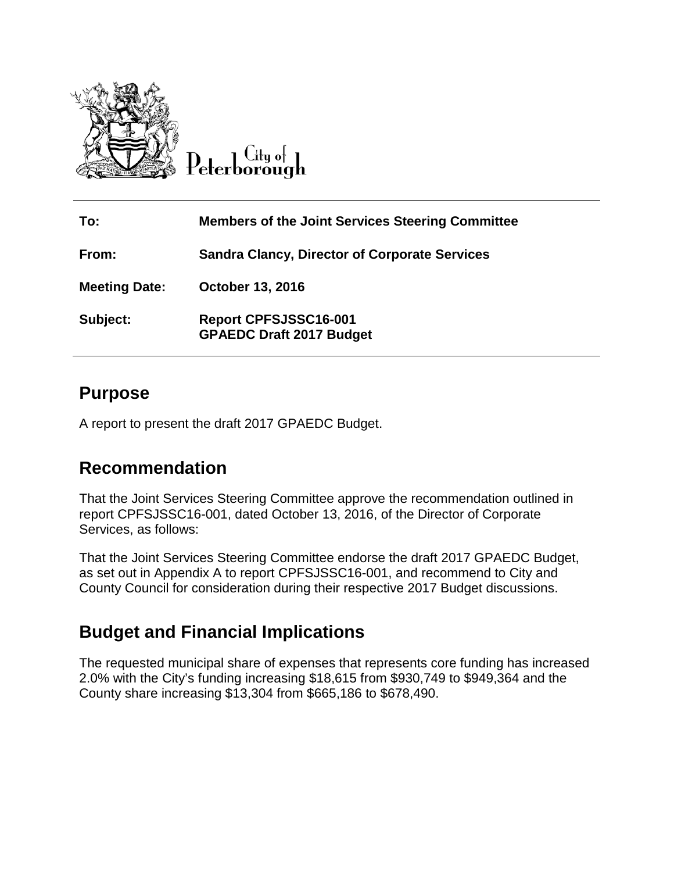

 $C$ ity of Peterborough

| To:                  | <b>Members of the Joint Services Steering Committee</b>         |
|----------------------|-----------------------------------------------------------------|
| From:                | <b>Sandra Clancy, Director of Corporate Services</b>            |
| <b>Meeting Date:</b> | October 13, 2016                                                |
| Subject:             | <b>Report CPFSJSSC16-001</b><br><b>GPAEDC Draft 2017 Budget</b> |

#### **Purpose**

A report to present the draft 2017 GPAEDC Budget.

#### **Recommendation**

That the Joint Services Steering Committee approve the recommendation outlined in report CPFSJSSC16-001, dated October 13, 2016, of the Director of Corporate Services, as follows:

That the Joint Services Steering Committee endorse the draft 2017 GPAEDC Budget, as set out in Appendix A to report CPFSJSSC16-001, and recommend to City and County Council for consideration during their respective 2017 Budget discussions.

#### **Budget and Financial Implications**

The requested municipal share of expenses that represents core funding has increased 2.0% with the City's funding increasing \$18,615 from \$930,749 to \$949,364 and the County share increasing \$13,304 from \$665,186 to \$678,490.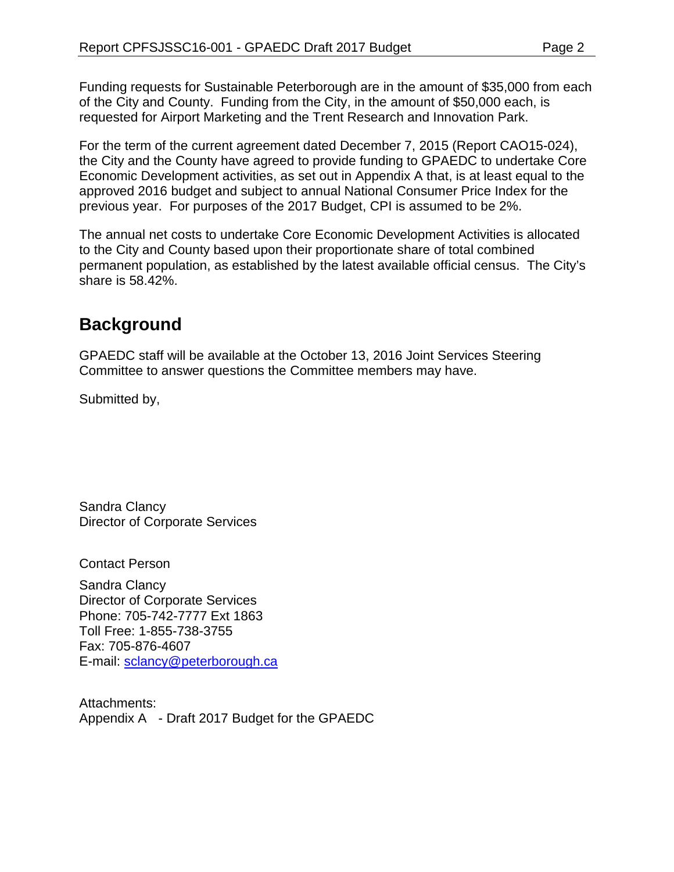Funding requests for Sustainable Peterborough are in the amount of \$35,000 from each of the City and County. Funding from the City, in the amount of \$50,000 each, is requested for Airport Marketing and the Trent Research and Innovation Park.

For the term of the current agreement dated December 7, 2015 (Report CAO15-024), the City and the County have agreed to provide funding to GPAEDC to undertake Core Economic Development activities, as set out in Appendix A that, is at least equal to the approved 2016 budget and subject to annual National Consumer Price Index for the previous year. For purposes of the 2017 Budget, CPI is assumed to be 2%.

The annual net costs to undertake Core Economic Development Activities is allocated to the City and County based upon their proportionate share of total combined permanent population, as established by the latest available official census. The City's share is 58.42%.

### **Background**

GPAEDC staff will be available at the October 13, 2016 Joint Services Steering Committee to answer questions the Committee members may have.

Submitted by,

Sandra Clancy Director of Corporate Services

Contact Person

Sandra Clancy Director of Corporate Services Phone: 705-742-7777 Ext 1863 Toll Free: 1-855-738-3755 Fax: 705-876-4607 E-mail: [sclancy@peterborough.ca](mailto:sclancy@peterborough.ca)

Attachments: Appendix A - Draft 2017 Budget for the GPAEDC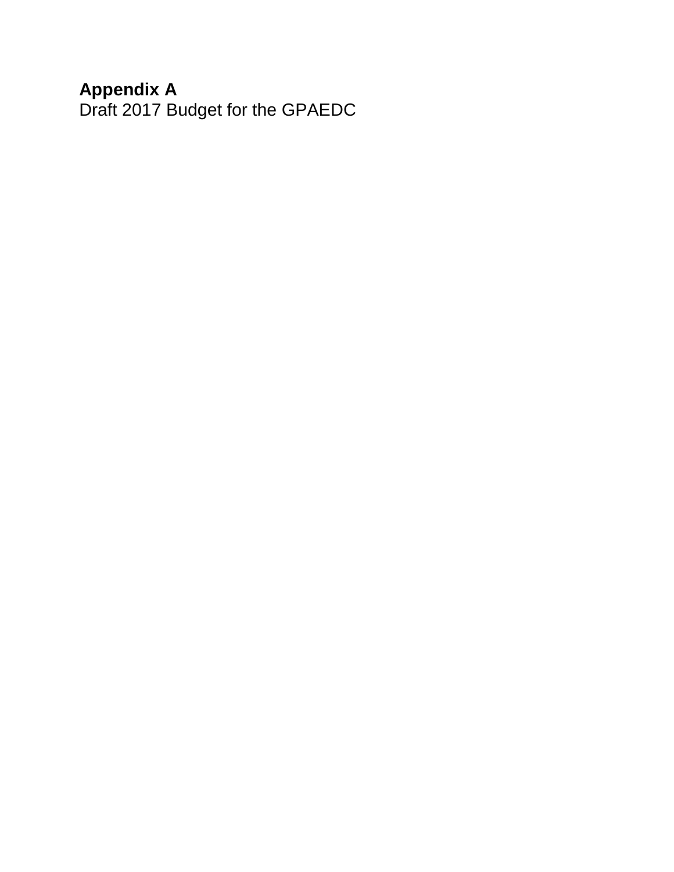#### **Appendix A**

Draft 2017 Budget for the GPAEDC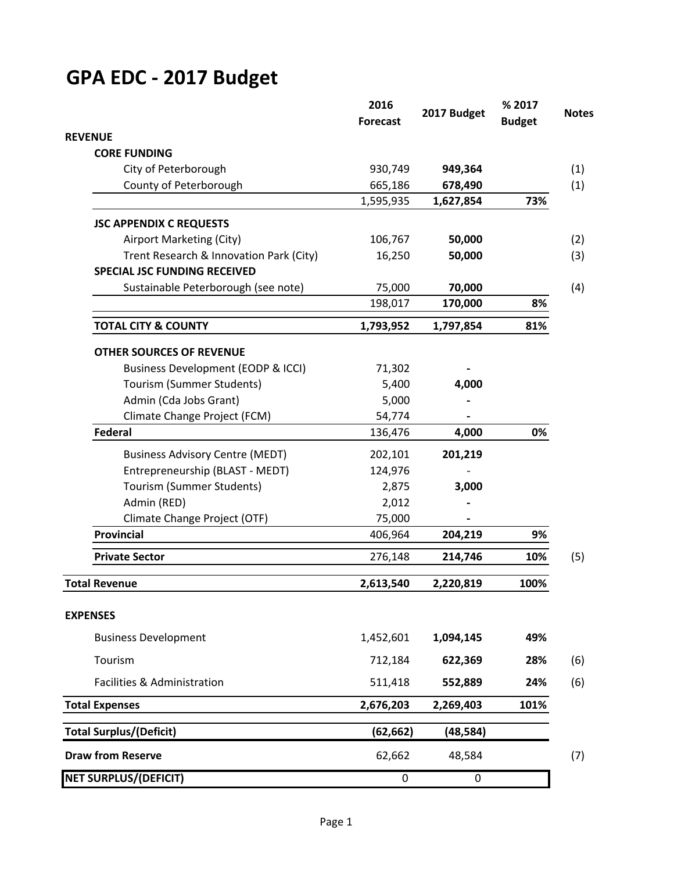# **GPA EDC - 2017 Budget**

|                                               | 2016<br><b>Forecast</b> | 2017 Budget | % 2017<br><b>Budget</b> | <b>Notes</b> |
|-----------------------------------------------|-------------------------|-------------|-------------------------|--------------|
| <b>REVENUE</b>                                |                         |             |                         |              |
| <b>CORE FUNDING</b>                           |                         |             |                         |              |
| City of Peterborough                          | 930,749                 | 949,364     |                         | (1)          |
| County of Peterborough                        | 665,186                 | 678,490     |                         | (1)          |
|                                               | 1,595,935               | 1,627,854   | 73%                     |              |
| <b>JSC APPENDIX C REQUESTS</b>                |                         |             |                         |              |
| Airport Marketing (City)                      | 106,767                 | 50,000      |                         | (2)          |
| Trent Research & Innovation Park (City)       | 16,250                  | 50,000      |                         | (3)          |
| <b>SPECIAL JSC FUNDING RECEIVED</b>           |                         |             |                         |              |
| Sustainable Peterborough (see note)           | 75,000                  | 70,000      |                         | (4)          |
|                                               | 198,017                 | 170,000     | 8%                      |              |
| <b>TOTAL CITY &amp; COUNTY</b>                | 1,793,952               | 1,797,854   | 81%                     |              |
| <b>OTHER SOURCES OF REVENUE</b>               |                         |             |                         |              |
| <b>Business Development (EODP &amp; ICCI)</b> | 71,302                  |             |                         |              |
| Tourism (Summer Students)                     | 5,400                   | 4,000       |                         |              |
| Admin (Cda Jobs Grant)                        | 5,000                   |             |                         |              |
| Climate Change Project (FCM)                  | 54,774                  |             |                         |              |
| Federal                                       | 136,476                 | 4,000       | 0%                      |              |
| <b>Business Advisory Centre (MEDT)</b>        | 202,101                 | 201,219     |                         |              |
| Entrepreneurship (BLAST - MEDT)               | 124,976                 |             |                         |              |
| Tourism (Summer Students)                     | 2,875                   | 3,000       |                         |              |
| Admin (RED)                                   | 2,012                   |             |                         |              |
| Climate Change Project (OTF)                  | 75,000                  |             |                         |              |
| <b>Provincial</b>                             | 406,964                 | 204,219     | 9%                      |              |
| <b>Private Sector</b>                         | 276,148                 | 214,746     | 10%                     | (5)          |
| <b>Total Revenue</b>                          | 2,613,540               | 2,220,819   | 100%                    |              |
| <b>EXPENSES</b>                               |                         |             |                         |              |
| <b>Business Development</b>                   | 1,452,601               | 1,094,145   | 49%                     |              |
| Tourism                                       | 712,184                 | 622,369     | 28%                     | (6)          |
| Facilities & Administration                   | 511,418                 | 552,889     | 24%                     | (6)          |
| <b>Total Expenses</b>                         | 2,676,203               | 2,269,403   | 101%                    |              |
| <b>Total Surplus/(Deficit)</b>                | (62, 662)               | (48, 584)   |                         |              |
| <b>Draw from Reserve</b>                      | 62,662                  | 48,584      |                         | (7)          |
| <b>NET SURPLUS/(DEFICIT)</b>                  | $\boldsymbol{0}$        | 0           |                         |              |